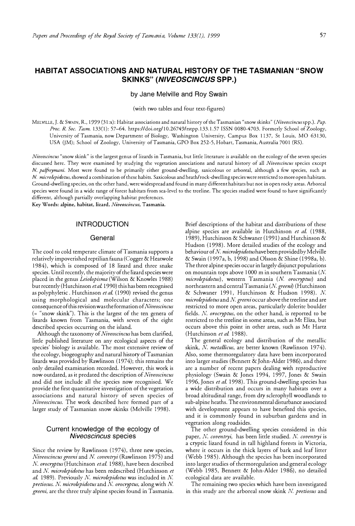# **HABITAT ASSOCIATIONS AND NATURAL HISTORY OF THE TASMANIAN "SNOW SKINKS"** *(N/VEOSCINCUS* **SPP.)**

### by Jane Melville and Roy Swain

(with two tables and four text-figures)

MELVILLE, J. & SWAIN, R., 1999 (31 :x): Habitat associations and natural history of the Tasmanian "snow skinks" *(Niveoscincus* spp.). *Pap. Proc. R. Soc. Tasm.* 133(1): 57-64. https://doi.org/10.26749/rstpp.133.1.57 ISSN 0080-4703. Formerly School of Zoology, University of Tasmania, now Department of Biology, Washington University, Campus Box 1137, St Louis, MO 63130, USA QM); School of Zoology, University of Tasmania, GPO Box 252-5, Hobart, Tasmania, Australia 7001 (RS).

*Niveoscincus* "snow skink" is the largest genus of lizards in Tasmania, but little literature is available on the ecology of the seven species discussed here. They were examined by studying the vegetation associations and natural history of all *Niveoscincus* species except *N. palfreymani.* Most were found to be primarily either ground-dwelling, saxicolous or arboreal, although a few species, such as *N microlepidotus,* showed a combination of these habits. Saxicolous and heath/rock-dwelling species were restricted to more open habitats. Ground-dwelling species, on the other hand, were widespread and found in many different habitats but not in open rocky areas. Arboreal species were found in a wide range of forest habitats from sea-level to the treeline. The species studied were found to have significantly different, although partially overlapping habitat preferences.

**Key Words: alpine, habitat, lizard,** *Niveoscincus,* **Tasmania.**

# **INTRODUCTION**

#### General

The cool to cold temperate climate of Tasmania supports a relatively impoverished reptilian fauna (Cogger & Heatwole 1984), which is composed of 18 lizard and three snake species. Until recently, the majority of the lizard species were placed in the genus *Leiolopisma* (Wilson & Knowles 1988) but recently (Hutchinson *et al.* 1990) this has been recognised as polyphyletic . Hutchinson *et al.* (1990) revised the genus using morphological and molecular characters; one consequence of this revision was the formation of *Niveoscincus*  (= "snow skink"). This is the largest of the ten genera of lizards known from Tasmania, with seven of the eight described species occurring on the island.

Although the taxonomy of *Niveoscincus* has been clarified, little published literature on any ecological aspects of the species' biology is available. The most extensive review of the ecology, biogeography and natural history of Tasmanian lizards was provided by Rawlinson (1974); this remains the only detailed examination recorded. However, this work is now outdated, as it predated the description of *Niveoscincus*  and did not include all the species now recognised. We provide the first quantitative investigation of the vegetation associations and natural history of seven species of *Niveoscincus.* The work described here formed part of a larger study of Tasmanian snow skinks (Melville 1998).

## Current knowledge of the ecology of *Niveoscincus* species

Since the review by Rawlinson (1974), three new species, *Niveoscincus greeni* and N. *coventryi* (Rawlinson 1975) and N. *orocryptus(Hutchinson eta!.* 1988), have been described and N. *microlepidotus* has been redescribed (Hutchinson *et al.* 1989). Previously N. *microlepidotus* was included in N. *pretiosus.* N. *microlepidotus* and N. *orocryptus,* along with N. *greeni,* are the three truly alpine species found in Tasmania.

Brief descriptions of the habitat and distributions of these alpine species are available in Hutchinson et al. (1988, 1989), Hutchinson & Schwaner (1991) and Hutchinson & Hudson (1998). More detailed studies of the ecology and behaviour of N. *microlepidotushave* been provided by Melville & Swain (1997a, b, 1998) and Olsson & Shine (1998a, b). The three alpine species occur in largely disjunct populations on mountain tops above 1000 m in southern Tasmania (N. *microlepidotus),* western Tasmania (N. *orocryptus)* and northeastern and central Tasmania (N. *greem)* (Hutchinson & Schwaner 1991, Hutchinson & Hudson 1998). N. *microlepidotus* and N. *greeni* occur above the treeline and are restricted to more open areas, particularly dolerite boulder fields. *N. orocryptus,* on the other hand, is reported to be restricted to the treeline in some areas, such as Mt Eliza, but occurs above this point in other areas, such as Mt Hartz (Hutchinson et al. 1988).

The general ecology and distribution of the metallic skink, N. metallicus, are better known (Rawlinson 1974). Also, some thermoregulatory data have been incorporated into larger studies (Bennett & John-Alder 1986), and there are a number of recent papers dealing with reproductive physiology (Swain & Jones 1994, 1997, Jones & Swain 1996, Jones *et al.* 1998). This ground-dwelling species has a wide distribution and occurs in many habitats over a broad altitudinal range, from dry sclerophyll woodlands to sub-alpine heaths. The environmental disturbance associated with development appears to have benefited this species, and it is commonly found in suburban gardens and in vegetation along roadsides.

The other ground-dwelling species considered in this paper, *N. coventryi,* has been little studied. N. *coventryi* is a cryptic lizard found in tall highland forests in Victoria, where it occurs in the thick layers of bark and leaf litter (Webb 1985). Although the species has been incorporated into larger studies of thermoregulation and general ecology (Webb 1985, Bennett & John-Alder 1986), no detailed ecological data are available.

The remaining two species which have been investigated in this study are the arboreal snow skink *N. pretiosus* and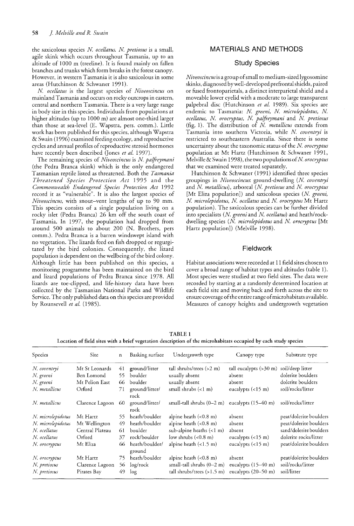the saxicolous species *N ocellatus. N pretiosus* is a small, agile skink which occurs throughout Tasmania, up to an altitude of 1000 m (treeline). It is found mainly on fallen branches and trunks which form breaks in the forest canopy. However, in western Tasmania it is also saxicolous in some areas (Hutchinson & Schwaner 1991).

N *ocellatus* is the largest species of *Niveoscincus* on mainland Tasmania and occurs on rocky outcrops in eastern, central and northern Tasmania. There is a very large range in body size in this species. Individuals from populations at higher altitudes (up to 1000 m) are almost one-third larger than those at sea-level (E. Wapstra, pers. comm.). Little work has been published for this species, although Wapstra & Swain (1996) examined feeding ecology, and reproductive cycles and annual profiles of reproductive steroid hormones have recently been described (Jones et al. 1997).

The remaining species of *Niveoscincus* is N *palfteymani* (the Pedra Branca skink) which is the only endangered Tasmanian reptile listed as threatened. Both the *Tasmania Threatened Species Protection Act* 1995 and the *Commonwealth Endangered Species Protection Act 1992* record it as "vulnerable". It is also the largest species of *Niveoscincus,* with snout-vent lengths of up to 90 mm. This species consists of a single population living on a rocky islet (Pedra Branca) 26 km off the south coast of Tasmania. In 1997, the population had dropped from around 500 animals to about 200 (N. Brothers, pers comm.). Pedra Branca is a barren windswept island with no vegetation. The lizards feed on fish dropped or regurgitated by the bird colonies. Consequently, the lizard population is dependent on the wellbeing of the bird colony. Although little has been published on this species, a monitoring programme has been maintained on the bird and lizard populations of Pedra Branca since 1978. All lizards are toe-clipped, and life-history data have been collected by the Tasmanian National Parks and Wildlife Service. The only published data on this species are provided by Rounsevell *et al. (1985).*

# MATERIALS AND METHODS

# Study Species

*Niveoscincusis* a group ofsmall to medium-sized lygosomine skinks, diagnosed bywell-developed prefrontalshields, paired or fused frontoparietals, a distinct interparietal shield and a moveable lower eyelid with a moderate to large transparent palpebral disc (Hutchinson *et al.* 1989). Six species are endemic to Tasmania: N. greeni, N. microlepidotus, N. *ocellatus)* N *orocryptus)* N *palfteymani* and N *pretiosus* (fig. 1). The distribution of *N metallicus* extends from Tasmania into southern Victoria, while *N coventryi* is restricted to southeastern Australia. Since there is some uncertainty about the taxonomic status of the N. *orocryptus* population at Mt Hartz (Hutchinson & Schwaner 1991, Melville & Swain 1998), the two populations of N. *orocryptus* that we examined were treated separately.

Hutchinson & Schwaner (1991) identified three species groupings in *Niveoscincus:* ground-dwelling (N *coventryi* and N. metallicus), arboreal (N. pretiosus and N. orocryptus [Mt Eliza population]) and saxicolous species (N. greeni, N *microlepidotus,* N *ocellatus* and N *orocryptus* Mt Hartz population). The saxicolous species can be further divided into specialists (N. greeni and N. ocellatus) and heath/rockdwelling species (N. microlepidotus and N. orocryptus [Mt Hartz population]) (Melville 1998).

# **Fieldwork**

Habitat associations were recorded at 11 field sites chosen to cover a broad range of habitat types and altitudes (table 1). Most species were studied at two field sites. The data were recorded by starting at a randomly determined location at each field site and moving back and forth across the site to ensure coverage of the entire range of microhabitats available. Measures of canopy heights and undergrowth vegetation

| Location of held sites with a brief vegetation description of the inicronabitats occupied by each study species |                 |     |                          |                                      |                                  |                        |
|-----------------------------------------------------------------------------------------------------------------|-----------------|-----|--------------------------|--------------------------------------|----------------------------------|------------------------|
| Species                                                                                                         | <b>Site</b>     | n   | Basking surface          | Undergrowth type                     | Canopy type                      | Substrate type         |
| N. coventryi                                                                                                    | Mt St Leonards  | 41  | ground/litter            | tall shrubs/trees $(>2 m)$           | tall eucalypts $(>30 \text{ m})$ | soil/deep litter       |
| N. greeni                                                                                                       | Ben Lomond      | 55. | boulder                  | usually absent                       | absent                           | dolerite boulders      |
| N. greeni                                                                                                       | Mt Pelion East  | 66  | boulder                  | usually absent                       | absent                           | dolerite boulders      |
| N. metallicus                                                                                                   | Orford          | 71  | ground/litter/<br>rock   | small shrubs $(1 \, \text{m})$       | eucalypts $(<15 \text{ m})$      | soil/rocks/litter      |
| N metallicus                                                                                                    | Clarence Lagoon | 60  | ground/litter/<br>rock   | small-tall shrubs $(0-2 \text{ m})$  | eucalypts $(15-40 \text{ m})$    | soil/rocks/litter      |
| N. microlepidotus                                                                                               | Mt Hartz        | 55. | heath/boulder            | alpine heath $(0.8 \text{ m})$       | absent                           | peat/dolerite boulders |
| N. microlepidotus                                                                                               | Mt Wellington   | 49. | heath/boulder            | alpine heath $(0.8 \text{ m})$       | absent                           | peat/dolerite boulders |
| N. ocellatus                                                                                                    | Central Plateau | 61  | boulder                  | sub-alpine heaths $(<1 m)$           | absent                           | sand/dolerite boulders |
| N. ocellatus                                                                                                    | Orford          | 37  | rock/boulder             | low shrubs (<0.8 m)                  | eucalypts $(< 15 \text{ m})$     | dolerite rocks/litter  |
| N. orocryptus                                                                                                   | Mt Eliza        | 66  | heath/boulder/<br>ground | alpine heath $(<1.5 m)$              | eucalypts $(<15 m)$              | peat/dolerite boulders |
| N. orocryptus                                                                                                   | Mt Hartz        | 75. | heath/boulder            | alpine heath $(0.8 \text{ m})$       | absent                           | peat/dolerite boulders |
| N. pretiosus                                                                                                    | Clarence Lagoon |     | 56 log/rock              | small-tall shrubs $(0-2 \text{ m})$  | eucalypts $(15-40 \text{ m})$    | soil/rocks/litter      |
| N. pretiosus                                                                                                    | Pirates Bay     | 49. | log                      | tall shrubs/trees $(>1.5 \text{ m})$ | eucalypts $(20-50 \text{ m})$    | soil/litter            |

TABLE 1 Location offield sites with a brief vegetation description of the microhabitats occupied by each study species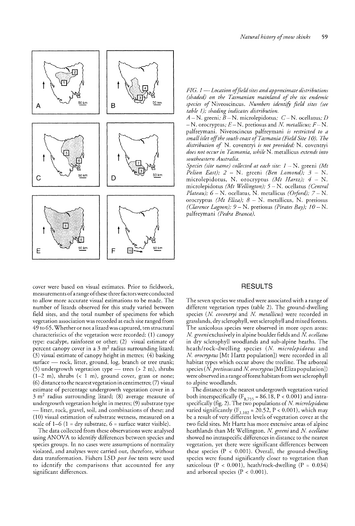

cover were based on visual estimates. Prior to fieldwork, measurements ofa range ofthese three factors were conducted to allow more accurate visual estimations to be made. The number of lizards observed for this study varied between field sites, and the total number of specimens for which vegetation association was recorded at each site ranged from 49 to 65. Whether or not a lizardwas captured, ten structural characteristics of the vegetation were recorded: (1) canopy type: eucalypt, rainforest or other; (2) visual estimate of percent canopy cover in a  $3 \text{ m}^2$  radius surrounding lizard; (3) visual estimate of canopy height in metres; (4) basking surface - rock, litter, ground, log, branch or tree trunk; (5) undergrowth vegetation type  $-$  trees (> 2 m), shrubs  $(1-2 m)$ , shrubs  $( $1 m$ ), ground cover, grass or none;$ (6) distance to the nearest vegetation in centimetres; (7) visual estimate of percentage undergrowth vegetation cover in a  $3 \text{ m}^2$  radius surrounding lizard; (8) average measure of undergrowth vegetation height in metres; (9) substrate type litter, rock, gravel, soil, and combinations of these; and  $(10)$  visual estimation of substrate wetness, measured on a scale of  $1-6$  ( $1 =$ dry substrate,  $6 =$  surface water visible).

The data collected from these observations were analysed using ANOVA to identify differences between species and species groups. In no cases were assumptions of normality violated, and analyses were carried out, therefore, without data transformation. Fishers LSD *post hoc* tests were used to identify the comparisons that accounted for any significant differences.

*FIG.* 1 — Location of field sites and approximate distributions *(shaded) on the Tasmanian mainland of the six endemic species of* Niveoscincus. *Numbers identify sites table 1); shading indicates distribution.*

 $A$  – N. greeni;  $\overline{B}$  – N. microlepidotus;  $C$  – N. ocellatus; *D*  $- N$ . orocryptus;  $E - N$ . pretiosus and *N*. *metallicus*;  $F - N$ . palfreymani. Niveoscincus *is restricted to a small islet offthe south (Field Site 10). The distribution of* N. coventryi is not provided: N. coventryi *does not occur in Tasmania, while N.* metallicus *extends into southeastern Australia.*

*Species (site name) collected at each site:* 1 *(Mt Pelion East)*;  $2 - N$ . greeni (Ben Lomond);  $3 - N$ . microlepidotus, N. orocryptus (Mt Hartz);  $4 - N$ . microlepidotus (Mt Wellington); 5 - N. ocellatus (Central *Plateau)*;  $6 - N$ . ocellatus, N. metallicus *(Orford)*;  $7 - N$ . orocryptus *(Mt Eliza)*; 8 - N. metallicus, N. pretiosus *(Clarence Lagoon)*;  $9 - N$ . pretiosus *(Pirates Bay)*;  $10 - N$ . palfreymani *(Pedra Branca).*

## **RESULTS**

The seven species we studied were associated with a range of different vegetation types (table 2). The ground-dwelling species (N. *coventryi* and N. metallicus) were recorded in grasslands, dry sclerophyll, wetsclerophyll and mixed forests. The saxicolous species were observed in more open areas: *N. greeni* exclusively in alpine boulder fields and *N. ocellatus* in dry sclerophyll woodlands and sub-alpine heaths. The heath/rock-dwelling species (N. *microlepidotus* and *N orocryptus* [Mt Hartz population]) were recorded in all habitat types which occur above the treeline. The arboreal species (N *pretiosusand N orocryptus*[Mt Eliza population]) were observed in a range of forest habitats from wet sclerophyll to alpine woodlands.

The distance to the nearest undergrowth vegetation varied both interspecifically (F<sub>8,755</sub> = 86.18, P < 0.001) and intra-<br>specifically (fig. 2). The two populations of *N. microlepidotus* varied significantly  $(F_{1,102} = 20.52, P < 0.001)$ , which may be a result of very different levels of vegetation cover at the two field sites. Mt Hartz has more extensive areas of alpine heathlands than Mt Wellington. N. greeni and N. ocellatus showed no intraspecific differences in distance to the nearest vegetation, yet there were significant differences between these species ( $P < 0.001$ ). Overall, the ground-dwelling species were found significantly closer to vegetation than saxicolous ( $P < 0.001$ ), heath/rock-dwelling ( $P = 0.034$ ) and arboreal species ( $P < 0.001$ ).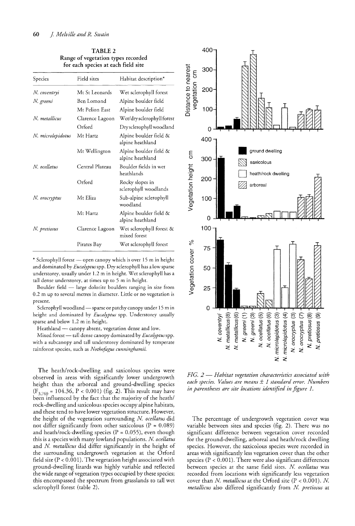TABLE 2 Range of vegetation types recorded for each species at each field site

| Species           | Field sites     | Habitat description*                       |  |
|-------------------|-----------------|--------------------------------------------|--|
| N. coventryi      | Mt St Leonards  | Wet sclerophyll forest                     |  |
| N. greeni         | Ben Lomond      | Alpine boulder field                       |  |
|                   | Mt Pelion East  | Alpine boulder field                       |  |
| N. metallicus     | Clarence Lagoon | Wet/dry sclerophyll forest                 |  |
|                   | Orford          | Dry sclerophyll woodland                   |  |
| N. microlepidotus | Mt Hartz        | Alpine boulder field &<br>alpine heathland |  |
|                   | Mt Wellington   | Alpine boulder field &<br>alpine heathland |  |
| N. ocellatus      | Central Plateau | Boulder fields in wet<br>heathlands        |  |
|                   | Orford          | Rocky slopes in<br>sclerophyll woodlands   |  |
| N. orocryptus     | Mt Eliza        | Sub-alpine sclerophyll<br>woodland         |  |
|                   | Mt Hartz        | Alpine boulder field &<br>alpine heathland |  |
| N. pretiosus      | Clarence Lagoon | Wet sclerophyll forest &<br>mixed forest   |  |
|                   | Pirates Bay     | Wet sclerophyll forest                     |  |

\* Sclerophyll forest - open canopy which is over 15 m in height and dominated by *Eucalyptus*spp. Dry sclerophyll has a low sparse understorey, usually under 1.2 m in height. Wet sclerophyll has a tall dense understorey, at times up to 5 m in height.

Boulder field - large dolorite boulders ranging in size from 0.2 m up to several metres in diameter. Little or no vegetation is present.

Sclerophyll woodland - sparse or patchy canopy under 15 m in height and dominated by *Eucalyptus* spp. Understorey usually sparse and below 1.2 m in height.

Heathland - canopy absent, vegetation dense and low.

Mixed forest — tall dense canopy dominated by *Eucalyptus* spp. with a subcanopy and tall understorey dominated by temperate rainforest species, such as *Nothofagus cunninghamii.*

The heath/rock-dwelling and saxicolous species were observed in areas with significantly lower undergrowth height than the arboreal and ground-dwelling species  $(F_{3,760} = 104.36, P < 0.001)$  (fig. 2). This result may have been influenced by the fact that the majority of the heath/ rock-dwelling and saxicolous species occupy alpine habitats, and these tend to have lower vegetation structure. However, the height of the vegetation surrounding *N ocellatus* did not differ significantly from other saxicolous ( $P = 0.089$ ) and heath/rock-dwelling species ( $P = 0.055$ ), even though this is a species with many lowland populations. *N ocellatus* and *N metallicus* did differ significantly in the height of the surrounding undergrowth vegetation at the Orford field site  $(P < 0.001)$ . The vegetation height associated with ground-dwelling lizards was highly variable and reflected the wide range of vegetation types occupied by these species; this encompassed the spectrum from grasslands to tall wet sclerophyll forest (table 2).



*FIG.* 2 - *Habitat vegetation characteristics associated with each species. Values are means* ± 1 *standard error. Numbers in parentheses are site locations identified in figure 1.*

The percentage of undergrowth vegetation cover was variable between sites and species (fig. 2). There was no significant difference between vegetation cover recorded for the ground-dwelling, arboreal and heath/rock dwelling species. However, the saxicolous species were recorded in areas with significantly less vegetation cover than the other species ( $P < 0.001$ ). There were also significant differences between species at the same field sites. *N ocellatus* was recorded from locations with significantly less vegetation cover than *N metallicus* at the Orford site (P < 0.001). *N metallicus* also differed significantly from *N pretiosus* at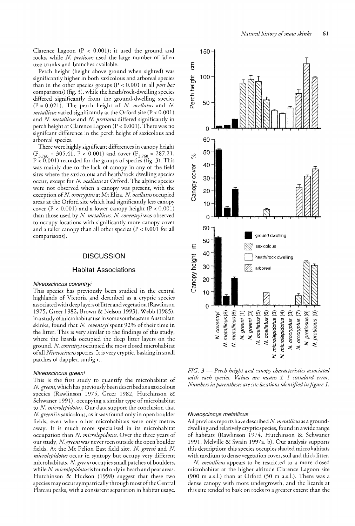Clarence Lagoon  $(P < 0.001)$ ; it used the ground and rocks, while *N pretiosus* used the large number of fallen tree trunks and branches available.

Perch height (height above ground when sighted) was significantly higher in both saxicolous and arboreal species than in the other species groups (P < 0.001 in all *post hoc* comparisons) (fig.  $3$ ), while the heath/rock-dwelling species differed significantly from the ground-dwelling species  $(P = 0.021)$ . The perch height of *N. ocellatus* and *N. metallicusvaried* significantly at the Orford site (P < 0.001) and *N metallicus* and *N pretiosus* differed significantly in perch height at Clarence Lagoon  $(P < 0.001)$ . There was no signifcant difference in the perch height of saxicolous and arboreal species.

There were highly significant differences in canopy height (F<sub>3,760</sub> = 305.41, P < 0.001) and cover (F<sub>3,760</sub> = 287.21, P < 0.001) recorded for the groups of species (fig. 3). This was mainly due to the lack of canopy in any of the field sites where the saxicolous and heath/rock dwelling species occur, except for *N ocellatus* at Orford. The alpine species were not observed when a canopy was present, with the exception of *N. orocryptus* at Mt Eliza. *N. ocellatus* occupied areas at the Orford site which had significantly less canopy cover  $(P < 0.001)$  and a lower canopy height  $(P < 0.001)$ than those used by *N metallicus. N coventryiwas* observed to occupy locations with significantly more canopy cover and a taller canopy than all other species ( $P < 0.001$  for all comparisons).

### **DISCUSSION**

### Habitat Associations

#### Niveoscincus coventryi

This species has previously been studied in the central highlands of Victoria and described as a cryptic species associatedwith deep layers oflitter and vegetation (Rawlinson 1975, Greer 1982, Brown & Nelson 1993). Webb (1985), in a study of microhabitat use in some southeastern Australian skinks, found that *N coventryi* spent 92% of their time in the litter. This is very similar to the findings of this study, where the lizards occupied the deep litter layers on the ground. *N coventryi* occupied the most closed microhabitat ofall *Niveoscincus*species. It is very cryptic, basking in small patches of dappled sunlight.

#### Niveoscincus greeni

This is the first study to quantify the microhabitat of *N greeni,* which has previously been described as a saxicolous species (Rawlinson 1975, Greer 1982, Hutchinson & Schwaner 1991), occupying a similar type of microhabitat to *N microlepidotus.* Our data support the conclusion that *N greeni* is saxicolous, as it was found only in open boulder fields, even when other microhabitats were only metres away. It is much more specialised in its microhabitat occupation than *N microlepidotus.* Over the three years of our study, *N. greeni* was never seen outside the open boulder fields. At the Mt Pelion East field site, *N greeni* and *N microlepidotus* occur in syntopy but occupy very different microhabitats. *N. greeni* occupies small patches of boulders, while *N microlepidotusis*found only in heath and peat areas. Hutchinson & Hudson (1998) suggest that these two species may occur sympatrically through most of the Central Plateau peaks, with a consistent separation in habitat usage.



*FIG.* 3 - *Perch height and canopy characteristics associated with each species. Values are means* ± 1 *standard error. Numbers in parentheses are site locations identifiedin figure 1.*

#### Niveoscincus metallicus

All previous reports have described *N metallicusas* a grounddwelling and relatively cryptic species, found in awide range of habitats (Rawlinson 1974, Hutchinson & Schwaner 1991, Melville & Swain 1997a, b). Our analysis supports this description; this species occupies shaded microhabitats with medium to dense vegetation cover, soil and thick litter.

*N. metallicus* appears to be restricted to a more closed microhabitat at the higher altitude Clarence Lagoon site (900 m a.s.l.) than at Orford (50 m a.s.l.). There was a dense canopy with more undergrowth, and the lizards at this site tended to bask on rocks to a greater extent than the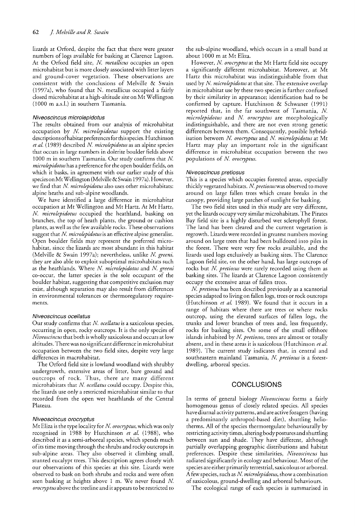lizards at Orford, despite the fact that there were greater numbers of logs available for basking at Clarence Lagoon. At the Orford field site, *N metallicus* occupies an open microhabitat but is more closely associated with litter layers and ground-cover vegetation. These observations are consistent with the conclusions of Melville & Swain (1997a), who found that N. metallicus occupied a fairly closed microhabitat at a high-altitude site on Mt Wellington (1000 m a.s.l.) in southern Tasmania.

### Niveoscincus microlepidotus

The results obtained from our analysis of microhabitat occupation by N. *microlepidotus* support the existing descriptions ofhabitat preferencesfor thisspecies. Hutchinson *et al.* (1989) described *N. microlepidotus* as an alpine species that occurs in large numbers in dolerite boulder fields above 1000 m in southern Tasmania. Our study confirms that N. *microlepidotus*has a preference for the open boulder fields, on which it basks, in agreement with our earlier study of this species onMtWellington (Melville & Swain 1997a). However, we find that *N microlepidotus* also uses other microhabitats: alpine heaths and sub-alpine woodlands.

We have identified a large difference in microhabitat occupation at Mt Wellington and MtHartz.At Mt Hartz, N. microlepidotus occupied the heathland, basking on branches, the top of heath plants, the ground or cushion plants, as well as the few available rocks. These observations suggest that N. microlepidotus is an effective alpine generalist. Open boulder fields may represent the preferred microhabitat, since the lizards are most abundant in this habitat (Melville & Swain 1997a); nevertheless, unlike *N greeni,* they are also able to exploit suboptimal microhabitats such as the heathlands. Where *N microlepidotus* and *N greeni* co-occur, the latter species is the sole occupant of the boulder habitat, suggesting that competitive exclusion may exist, although separation may also result from differences in environmental tolerances or thermoregulatory requirements.

### Niveoscincus ocellatus

Our study confirms that N. ocellatus is a saxicolous species, occurring in open, rocky outcrops. It is the only species of *Niveoscincusthat* both is wholly saxicolous and occurs at low altitudes. Therewas no significant difference in microhabitat occupation between the two field sites, despite very large differences in macrohabitat.

The Orford field site is lowland woodland with shrubby undergrowth, extensive areas of litter, bare ground and outcrops of rock. Thus, there are many different microhabitats that *N ocellatus* could occupy. Despite this, the lizards use only a restricted microhabitat similar to that recorded from the open wet heathlands of the Central Plateau.

### Niveoscincus orocryptus

Mt Eliza is the type locality for *N orocryptus,* which was only recognised in 1988 by Hutchinson et al. (1988), who described it as a semi-arboreal species, which spends much ofits time moving through the shrubs and rocky outcrops in sub-alpine areas. They also observed it climbing small, stunted eucalypt trees. This description agrees closely with our observations of this species at this site. Lizards were observed to bask on both shrubs and rocks and were often seen basking at heights above 1 m. We never found N *orocryptusabove* the treeline and it appears to be restricted to

the sub-alpine woodland, which occurs in a small band at about 1000 m at Mt Eliza.

However, *N orocryptus* at the Mt Hartz field site occupy a significantly different microhabitat. Moreover, at Mt Hartz this microhabitat was indistinguishable from that used by N. microlepidotus at that site. The extensive overlap in microhabitat use by these two species is further confused by their similarity in appearance; identification had to be confirmed by capture. Hutchinson & Schwaner (1991) reported that, in the far southwest of Tasmania, *N microlepidotus* and N *orocryptus* are morphologically indistinguishable, and there are not even strong genetic differences between them. Consequently, possible hybridisation between N. orocryptus and N. microlepidotus at Mt Hartz may play an important role in the significant difference in microhabitat occupation between the two populations of N. orocryptus.

### Niveoscincus pretiosus

This is a species which occupies forested areas, especially thickly vegetated habitats. N. pretiosus was observed to move around on large fallen trees which create breaks in the canopy, providing large patches of sunlight for basking.

The two field sites used in this study are very different, yet the lizards occupy very similar microhabitats. The Pirates Bay field site is a highly disturbed wet sclerophyll forest. The land has been cleared and the current vegetation is regrowth. Lizards were recorded in greatest numbers moving around on large trees that had been bulldozed into piles in the forest. There were very few rocks available, and the lizards used logs exclusively as basking sites. The Clarence Lagoon field site, on the other hand, has large outcrops of rocks but N. *pretiosus* were rarely recorded using them as basking sites. The lizards at Clarence Lagoon consistently occupy the extensive areas of fallen trees.

*N pretiosus* has been described previously as a scansorial species adapted to living on fallen logs, trees or rock outcrops (Hutchinson *et al.* 1989). We found that it occurs in a range of habitats where there are trees or where rocks outcrop, using the elevated surfaces of fallen logs, the trunks and lower branches of trees and, less frequently, rocks for basking sites. On some of the small offshore islands inhabited by N. pretiosus, trees are almost or totally absent, and in these areas it is saxicolous (Hutchinson *et al.* 1989). The current study indicates that, in central and southeastern mainland Tasmania, *N pretiosus* is a forestdwelling, arboreal species.

# **CONCLUSIONS**

In terms of general biology *Niveoscincus* forms a fairly homogenous genus of closely related species. All species have diurnal activity patterns, and are active foragers (having a predominantly arthropod-based diet), shuttling heliotherms. All of the species thermoregulate behaviourally by restricting activity times, altering bodypostures and shuttling between sun and shade. They have different, although partially overlapping geographic distributions and habitat preferences. Despite these similarities, *Niveoscincus* has radiated significantly in ecology and behaviour. Most of the species are either primarily terrestrial, saxicolous or arboreal. A few species, such as *N microlepidotus,* show a combination of saxicolous, ground-dwelling and arboreal behaviours.

The ecological range of each species is summarised in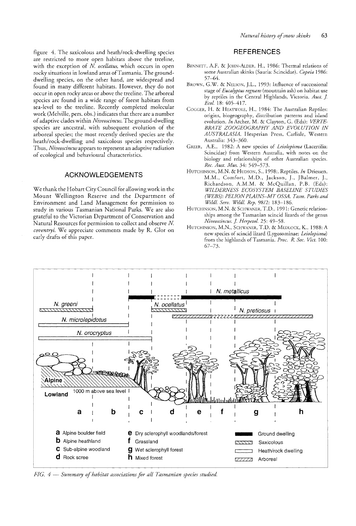figure 4. The saxicolous and heath/rock-dwelling species are restricted to more open habitats above the treeline, with the exception of *N. ocellatus*, which occurs in open rocky situations in lowland areas of Tasmania. The grounddwelling species, on the other hand, are widespread and found in many different habitats. However, they do not occur in open rocky areas or above the treeline. The arboreal species are found in a wide range of forest habitats from sea-level to the treeline. Recently completed molecular work (Melville, pers. obs.) indicates that there are a number ofadaptive clades within *Niveoscincus.* The ground-dwelling species are ancestral, with subsequent evolution of the arboreal species; the most recently derived species are the heath/rock-dwelling and saxicolous species respectively. Thus, *Niveoscincus* appears to represent an adaptive radiation of ecological and behavioural characteristics.

## ACKNOWLEDGEMENTS

We thank the Hobart City Council for allowing work in the Mount Wellington Reserve and the Department of Environment and Land Management for permission to study in various Tasmanian National Parks. We are also grateful to the Victorian Department of Conservation and Natural Resources for permission to collect and observe N *coventryi.* We appreciate comments made by R. Glor on early drafts of this paper.

# **REFERENCES**

- BENNETT, A.F. & JOHN-ALDER, H., 1986: Thermal relations of some Australian skinks (Sauria: Scincidae). *Copeia 1986:* 57-64.
- BROWN, G.W. & NELSON, ].L., 1993: Influence of successional stage of*Eucalyptus regnans* (mountain ash) on habitat use by reptiles in the Central Highlands, Victoria. *Aust.* J *Ecol.* 18: 405-417.
- COGGER, H. & HEATWOLE, H., 1984: The Australian Reptiles: origins, biogeography, distribution patterns and island evolution. *In* Archer, M. & Clayton, G. (Eds): *VERTE-BRATE ZOOGEOGRAPHY AND EVOLUTION IN AUSTRALASIA.* Hesperian Press, Carlisle, Western Australia: 343-360.
- GREER, A.E., 1982: A new species of *Leiolopisma* (Lacertilia: Scincidae) from Western Australia, with notes on the biology and relationships of other Australian species. *Rec. Aust. Mus.* 34: 549-573.
- HUTCHINSON, M.N. & HUDSON, S., 1998:. Reptiles. *In* Driessen, M.M., Comfort, M.D., Jackson, ]., ]Balmer, J., Richardson, A.M.M. & McQuillan, P.B. (Eds): *WILDERNESS ECOSYSTEM BASELINE STUDIES (WEBS): PELIONPLAINS-MT OSSA. Tasm. Parks and Wildl. Serv. Wildl. Rep.* 98/2: 183-186.
- HUTCHINSON, M.N. & SCHWANER, T.D., 1991: Genetic relationships among the Tasmanian scincid lizards of the genus *Niveoscincus. J Herpetol.* 25: 49-58.
- HUTCHINSON, M.N., SCHWANER, T.D. & MEDLOCK, K., 1988: A new species of scincid lizard (Lygosominae: Leiolopisma) from the highlands ofTasmania. *Proc. R. Soc. Viet.* 100: 67-73.



*FIG.* 4 *Summary ofhabitat associations for all Tasmanian species studied.*